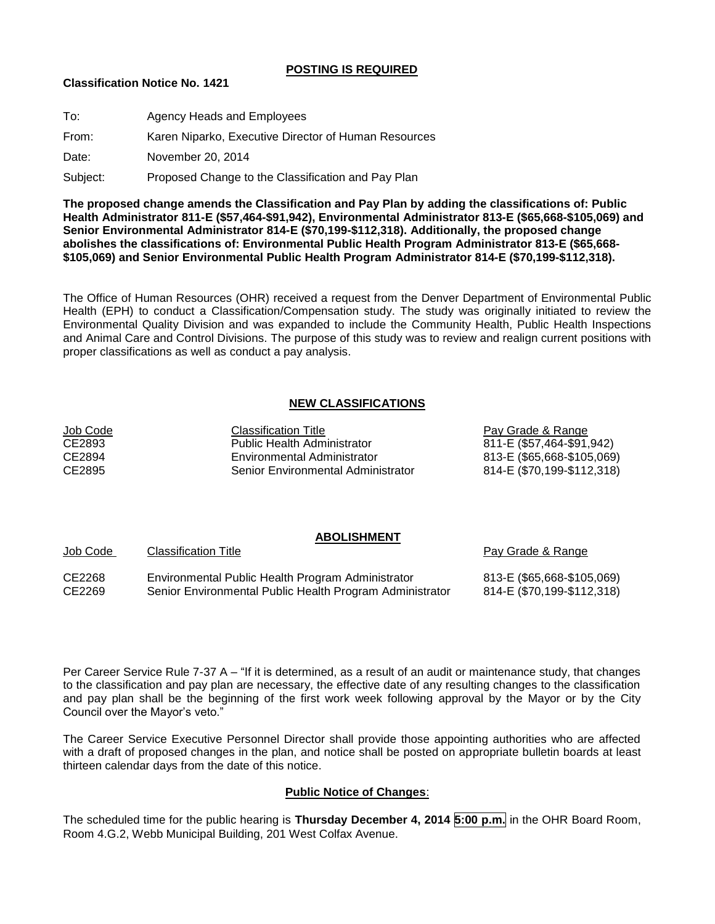## **POSTING IS REQUIRED**

## **Classification Notice No. 1421**

| To:      | Agency Heads and Employees                           |
|----------|------------------------------------------------------|
| From:    | Karen Niparko, Executive Director of Human Resources |
| Date:    | November 20, 2014                                    |
| Subject: | Proposed Change to the Classification and Pay Plan   |

**The proposed change amends the Classification and Pay Plan by adding the classifications of: Public Health Administrator 811-E (\$57,464-\$91,942), Environmental Administrator 813-E (\$65,668-\$105,069) and Senior Environmental Administrator 814-E (\$70,199-\$112,318). Additionally, the proposed change abolishes the classifications of: Environmental Public Health Program Administrator 813-E (\$65,668- \$105,069) and Senior Environmental Public Health Program Administrator 814-E (\$70,199-\$112,318).**

The Office of Human Resources (OHR) received a request from the Denver Department of Environmental Public Health (EPH) to conduct a Classification/Compensation study. The study was originally initiated to review the Environmental Quality Division and was expanded to include the Community Health, Public Health Inspections and Animal Care and Control Divisions. The purpose of this study was to review and realign current positions with proper classifications as well as conduct a pay analysis.

# **NEW CLASSIFICATIONS**

| <b>Classification Title</b>        | Pay Grade & Range          |
|------------------------------------|----------------------------|
| <b>Public Health Administrator</b> | 811-E (\$57,464-\$91,942)  |
| Environmental Administrator        | 813-E (\$65,668-\$105,069) |
| Senior Environmental Administrator | 814-E (\$70,199-\$112,318) |
|                                    |                            |

#### **ABOLISHMENT** Job Code Classification Title **Pay Grade & Range** Pay Grade & Range

CE2268 Environmental Public Health Program Administrator 813-E (\$65,668-\$105,069) CE2269 Senior Environmental Public Health Program Administrator 814-E (\$70,199-\$112,318)

Per Career Service Rule 7-37 A – "If it is determined, as a result of an audit or maintenance study, that changes to the classification and pay plan are necessary, the effective date of any resulting changes to the classification and pay plan shall be the beginning of the first work week following approval by the Mayor or by the City Council over the Mayor's veto."

The Career Service Executive Personnel Director shall provide those appointing authorities who are affected with a draft of proposed changes in the plan, and notice shall be posted on appropriate bulletin boards at least thirteen calendar days from the date of this notice.

## **Public Notice of Changes**:

The scheduled time for the public hearing is **Thursday December 4, 2014 5:00 p.m.** in the OHR Board Room, Room 4.G.2, Webb Municipal Building, 201 West Colfax Avenue.